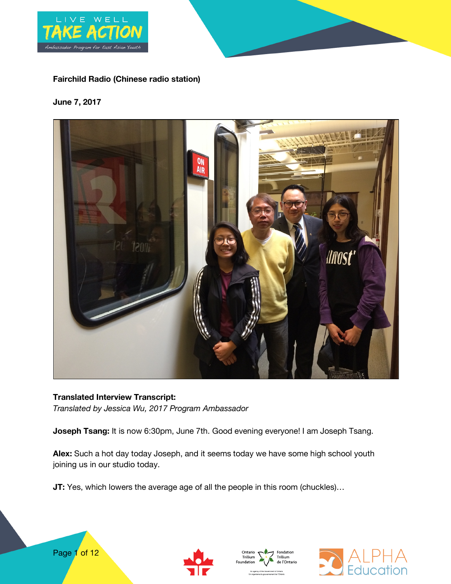

# **Fairchild Radio (Chinese radio station)**

#### **June 7, 2017**



**Translated Interview Transcript:** *Translated by Jessica Wu, 2017 Program Ambassador*

**Joseph Tsang:** It is now 6:30pm, June 7th. Good evening everyone! I am Joseph Tsang.

**Alex:** Such a hot day today Joseph, and it seems today we have some high school youth joining us in our studio today.

**JT:** Yes, which lowers the average age of all the people in this room (chuckles)...







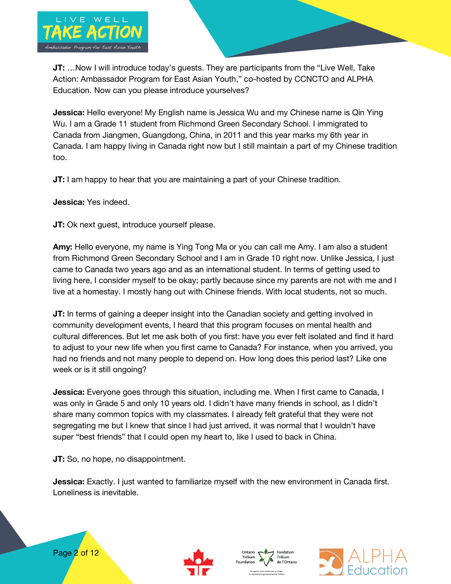

**JT:** …Now I will introduce today's guests. They are participants from the "Live Well, Take Action: Ambassador Program for East Asian Youth," co-hosted by CCNCTO and ALPHA Education. Now can you please introduce yourselves?

**Jessica:** Hello everyone! My English name is Jessica Wu and my Chinese name is Qin Ying Wu. I am a Grade 11 student from Richmond Green Secondary School. I immigrated to Canada from Jiangmen, Guangdong, China, in 2011 and this year marks my 6th year in Canada. I am happy living in Canada right now but I still maintain a part of my Chinese tradition too.

**JT:** I am happy to hear that you are maintaining a part of your Chinese tradition.

### **Jessica:** Yes indeed.

**JT:** Ok next guest, introduce yourself please.

**Amy:** Hello everyone, my name is Ying Tong Ma or you can call me Amy. I am also a student from Richmond Green Secondary School and I am in Grade 10 right now. Unlike Jessica, I just came to Canada two years ago and as an international student. In terms of getting used to living here, I consider myself to be okay; partly because since my parents are not with me and I live at a homestay. I mostly hang out with Chinese friends. With local students, not so much.

**JT:** In terms of gaining a deeper insight into the Canadian society and getting involved in community development events, I heard that this program focuses on mental health and cultural differences. But let me ask both of you first: have you ever felt isolated and find it hard to adjust to your new life when you first came to Canada? For instance, when you arrived, you had no friends and not many people to depend on. How long does this period last? Like one week or is it still ongoing?

**Jessica:** Everyone goes through this situation, including me. When I first came to Canada, I was only in Grade 5 and only 10 years old. I didn't have many friends in school, as I didn't share many common topics with my classmates. I already felt grateful that they were not segregating me but I knew that since I had just arrived, it was normal that I wouldn't have super "best friends" that I could open my heart to, like I used to back in China.

**JT:** So, no hope, no disappointment.

**Jessica:** Exactly. I just wanted to familiarize myself with the new environment in Canada first. Loneliness is inevitable.







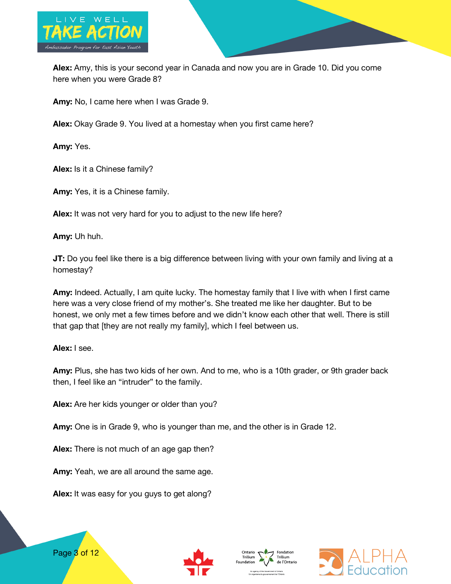

**Alex:** Amy, this is your second year in Canada and now you are in Grade 10. Did you come here when you were Grade 8?

**Amy:** No, I came here when I was Grade 9.

**Alex:** Okay Grade 9. You lived at a homestay when you first came here?

**Amy:** Yes.

**Alex:** Is it a Chinese family?

**Amy:** Yes, it is a Chinese family.

**Alex:** It was not very hard for you to adjust to the new life here?

**Amy:** Uh huh.

**JT:** Do you feel like there is a big difference between living with your own family and living at a homestay?

**Amy:** Indeed. Actually, I am quite lucky. The homestay family that I live with when I first came here was a very close friend of my mother's. She treated me like her daughter. But to be honest, we only met a few times before and we didn't know each other that well. There is still that gap that [they are not really my family], which I feel between us.

**Alex:** I see.

Page 3 of 12

**Amy:** Plus, she has two kids of her own. And to me, who is a 10th grader, or 9th grader back then, I feel like an "intruder" to the family.

**Alex:** Are her kids younger or older than you?

**Amy:** One is in Grade 9, who is younger than me, and the other is in Grade 12.

**Alex:** There is not much of an age gap then?

**Amy:** Yeah, we are all around the same age.

**Alex:** It was easy for you guys to get along?





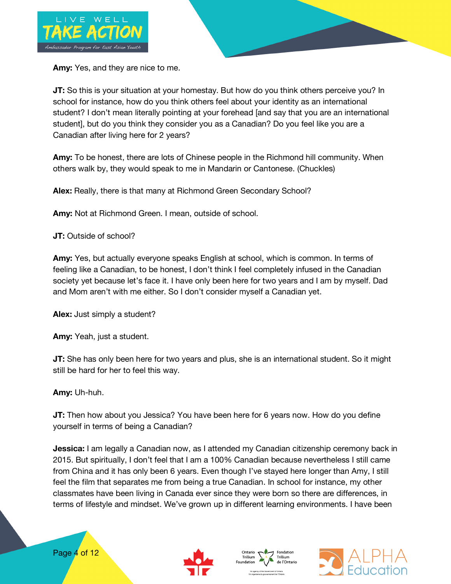

**Amy:** Yes, and they are nice to me.

**JT:** So this is your situation at your homestay. But how do you think others perceive you? In school for instance, how do you think others feel about your identity as an international student? I don't mean literally pointing at your forehead [and say that you are an international student], but do you think they consider you as a Canadian? Do you feel like you are a Canadian after living here for 2 years?

**Amy:** To be honest, there are lots of Chinese people in the Richmond hill community. When others walk by, they would speak to me in Mandarin or Cantonese. (Chuckles)

**Alex:** Really, there is that many at Richmond Green Secondary School?

**Amy:** Not at Richmond Green. I mean, outside of school.

**JT:** Outside of school?

**Amy:** Yes, but actually everyone speaks English at school, which is common. In terms of feeling like a Canadian, to be honest, I don't think I feel completely infused in the Canadian society yet because let's face it. I have only been here for two years and I am by myself. Dad and Mom aren't with me either. So I don't consider myself a Canadian yet.

**Alex:** Just simply a student?

**Amy:** Yeah, just a student.

**JT:** She has only been here for two years and plus, she is an international student. So it might still be hard for her to feel this way.

**Amy:** Uh-huh.

**JT:** Then how about you Jessica? You have been here for 6 years now. How do you define yourself in terms of being a Canadian?

**Jessica:** I am legally a Canadian now, as I attended my Canadian citizenship ceremony back in 2015. But spiritually, I don't feel that I am a 100% Canadian because nevertheless I still came from China and it has only been 6 years. Even though I've stayed here longer than Amy, I still feel the film that separates me from being a true Canadian. In school for instance, my other classmates have been living in Canada ever since they were born so there are differences, in terms of lifestyle and mindset. We've grown up in different learning environments. I have been







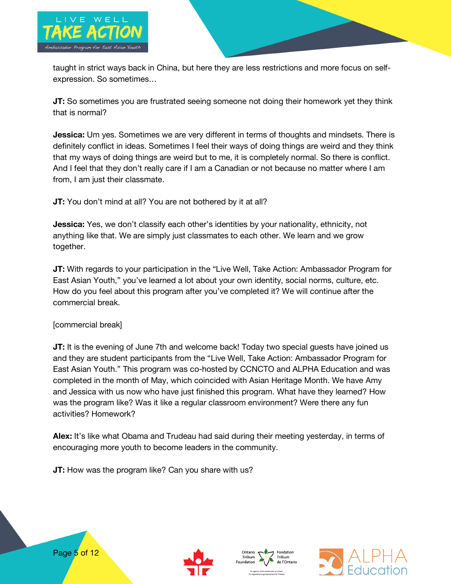

taught in strict ways back in China, but here they are less restrictions and more focus on selfexpression. So sometimes…

**JT:** So sometimes you are frustrated seeing someone not doing their homework yet they think that is normal?

**Jessica:** Um yes. Sometimes we are very different in terms of thoughts and mindsets. There is definitely conflict in ideas. Sometimes I feel their ways of doing things are weird and they think that my ways of doing things are weird but to me, it is completely normal. So there is conflict. And I feel that they don't really care if I am a Canadian or not because no matter where I am from, I am just their classmate.

**JT:** You don't mind at all? You are not bothered by it at all?

**Jessica:** Yes, we don't classify each other's identities by your nationality, ethnicity, not anything like that. We are simply just classmates to each other. We learn and we grow together.

**JT:** With regards to your participation in the "Live Well, Take Action: Ambassador Program for East Asian Youth," you've learned a lot about your own identity, social norms, culture, etc. How do you feel about this program after you've completed it? We will continue after the commercial break.

## [commercial break]

**JT:** It is the evening of June 7th and welcome back! Today two special guests have joined us and they are student participants from the "Live Well, Take Action: Ambassador Program for East Asian Youth." This program was co-hosted by CCNCTO and ALPHA Education and was completed in the month of May, which coincided with Asian Heritage Month. We have Amy and Jessica with us now who have just finished this program. What have they learned? How was the program like? Was it like a regular classroom environment? Were there any fun activities? Homework?

**Alex:** It's like what Obama and Trudeau had said during their meeting yesterday, in terms of encouraging more youth to become leaders in the community.

**JT:** How was the program like? Can you share with us?







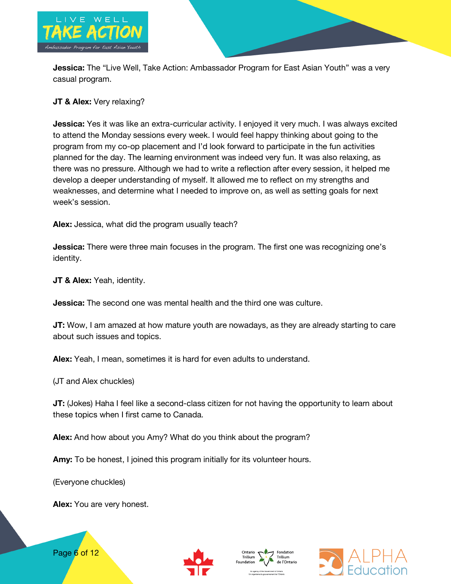

**Jessica:** The "Live Well, Take Action: Ambassador Program for East Asian Youth" was a very casual program.

## **JT & Alex:** Very relaxing?

**Jessica:** Yes it was like an extra-curricular activity. I enjoyed it very much. I was always excited to attend the Monday sessions every week. I would feel happy thinking about going to the program from my co-op placement and I'd look forward to participate in the fun activities planned for the day. The learning environment was indeed very fun. It was also relaxing, as there was no pressure. Although we had to write a reflection after every session, it helped me develop a deeper understanding of myself. It allowed me to reflect on my strengths and weaknesses, and determine what I needed to improve on, as well as setting goals for next week's session.

**Alex:** Jessica, what did the program usually teach?

**Jessica:** There were three main focuses in the program. The first one was recognizing one's identity.

**JT & Alex:** Yeah, identity.

**Jessica:** The second one was mental health and the third one was culture.

**JT:** Wow, I am amazed at how mature youth are nowadays, as they are already starting to care about such issues and topics.

**Alex:** Yeah, I mean, sometimes it is hard for even adults to understand.

(JT and Alex chuckles)

**JT:** (Jokes) Haha I feel like a second-class citizen for not having the opportunity to learn about these topics when I first came to Canada.

**Alex:** And how about you Amy? What do you think about the program?

**Amy:** To be honest, I joined this program initially for its volunteer hours.

(Everyone chuckles)

**Alex:** You are very honest.







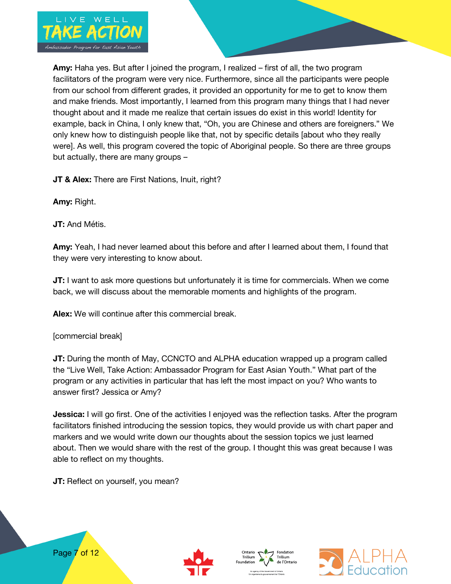

**Amy:** Haha yes. But after I joined the program, I realized – first of all, the two program facilitators of the program were very nice. Furthermore, since all the participants were people from our school from different grades, it provided an opportunity for me to get to know them and make friends. Most importantly, I learned from this program many things that I had never thought about and it made me realize that certain issues do exist in this world! Identity for example, back in China, I only knew that, "Oh, you are Chinese and others are foreigners." We only knew how to distinguish people like that, not by specific details [about who they really were]. As well, this program covered the topic of Aboriginal people. So there are three groups but actually, there are many groups –

**JT & Alex:** There are First Nations, Inuit, right?

**Amy:** Right.

**JT:** And Métis.

**Amy:** Yeah, I had never learned about this before and after I learned about them, I found that they were very interesting to know about.

**JT:** I want to ask more questions but unfortunately it is time for commercials. When we come back, we will discuss about the memorable moments and highlights of the program.

**Alex:** We will continue after this commercial break.

[commercial break]

**JT:** During the month of May, CCNCTO and ALPHA education wrapped up a program called the "Live Well, Take Action: Ambassador Program for East Asian Youth." What part of the program or any activities in particular that has left the most impact on you? Who wants to answer first? Jessica or Amy?

**Jessica:** I will go first. One of the activities I enjoyed was the reflection tasks. After the program facilitators finished introducing the session topics, they would provide us with chart paper and markers and we would write down our thoughts about the session topics we just learned about. Then we would share with the rest of the group. I thought this was great because I was able to reflect on my thoughts.

**JT:** Reflect on yourself, you mean?







Page 7 of 12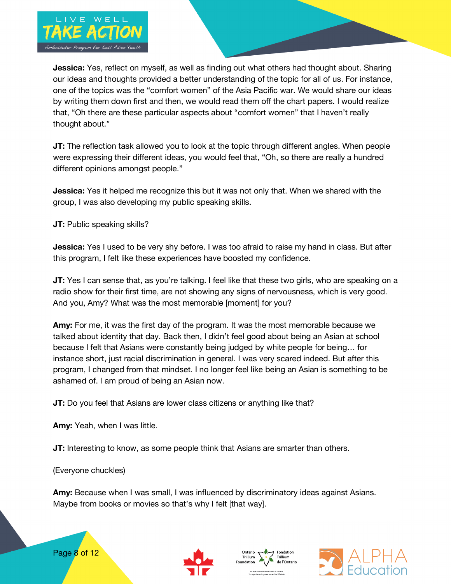

**Jessica:** Yes, reflect on myself, as well as finding out what others had thought about. Sharing our ideas and thoughts provided a better understanding of the topic for all of us. For instance, one of the topics was the "comfort women" of the Asia Pacific war. We would share our ideas by writing them down first and then, we would read them off the chart papers. I would realize that, "Oh there are these particular aspects about "comfort women" that I haven't really thought about."

**JT:** The reflection task allowed you to look at the topic through different angles. When people were expressing their different ideas, you would feel that, "Oh, so there are really a hundred different opinions amongst people."

**Jessica:** Yes it helped me recognize this but it was not only that. When we shared with the group, I was also developing my public speaking skills.

**JT:** Public speaking skills?

**Jessica:** Yes I used to be very shy before. I was too afraid to raise my hand in class. But after this program, I felt like these experiences have boosted my confidence.

**JT:** Yes I can sense that, as you're talking. I feel like that these two girls, who are speaking on a radio show for their first time, are not showing any signs of nervousness, which is very good. And you, Amy? What was the most memorable [moment] for you?

**Amy:** For me, it was the first day of the program. It was the most memorable because we talked about identity that day. Back then, I didn't feel good about being an Asian at school because I felt that Asians were constantly being judged by white people for being… for instance short, just racial discrimination in general. I was very scared indeed. But after this program, I changed from that mindset. I no longer feel like being an Asian is something to be ashamed of. I am proud of being an Asian now.

**JT:** Do you feel that Asians are lower class citizens or anything like that?

**Amy:** Yeah, when I was little.

**JT:** Interesting to know, as some people think that Asians are smarter than others.

(Everyone chuckles)

**Amy:** Because when I was small, I was influenced by discriminatory ideas against Asians. Maybe from books or movies so that's why I felt [that way].







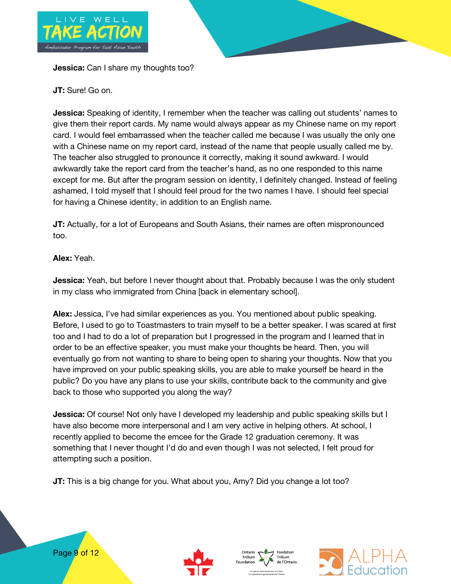

**Jessica:** Can I share my thoughts too?

**JT:** Sure! Go on.

**Jessica:** Speaking of identity, I remember when the teacher was calling out students' names to give them their report cards. My name would always appear as my Chinese name on my report card. I would feel embarrassed when the teacher called me because I was usually the only one with a Chinese name on my report card, instead of the name that people usually called me by. The teacher also struggled to pronounce it correctly, making it sound awkward. I would awkwardly take the report card from the teacher's hand, as no one responded to this name except for me. But after the program session on identity, I definitely changed. Instead of feeling ashamed, I told myself that I should feel proud for the two names I have. I should feel special for having a Chinese identity, in addition to an English name.

**JT:** Actually, for a lot of Europeans and South Asians, their names are often mispronounced too.

# **Alex:** Yeah.

**Jessica:** Yeah, but before I never thought about that. Probably because I was the only student in my class who immigrated from China [back in elementary school].

**Alex:** Jessica, I've had similar experiences as you. You mentioned about public speaking. Before, I used to go to Toastmasters to train myself to be a better speaker. I was scared at first too and I had to do a lot of preparation but I progressed in the program and I learned that in order to be an effective speaker, you must make your thoughts be heard. Then, you will eventually go from not wanting to share to being open to sharing your thoughts. Now that you have improved on your public speaking skills, you are able to make yourself be heard in the public? Do you have any plans to use your skills, contribute back to the community and give back to those who supported you along the way?

**Jessica:** Of course! Not only have I developed my leadership and public speaking skills but I have also become more interpersonal and I am very active in helping others. At school, I recently applied to become the emcee for the Grade 12 graduation ceremony. It was something that I never thought I'd do and even though I was not selected, I felt proud for attempting such a position.

**JT:** This is a big change for you. What about you, Amy? Did you change a lot too?







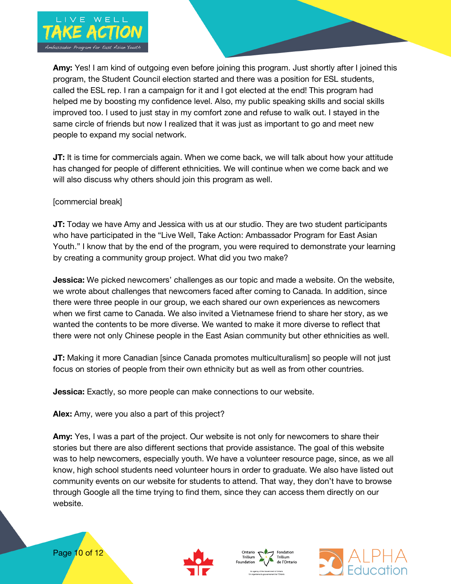

**Amy:** Yes! I am kind of outgoing even before joining this program. Just shortly after I joined this program, the Student Council election started and there was a position for ESL students, called the ESL rep. I ran a campaign for it and I got elected at the end! This program had helped me by boosting my confidence level. Also, my public speaking skills and social skills improved too. I used to just stay in my comfort zone and refuse to walk out. I stayed in the same circle of friends but now I realized that it was just as important to go and meet new people to expand my social network.

**JT:** It is time for commercials again. When we come back, we will talk about how your attitude has changed for people of different ethnicities. We will continue when we come back and we will also discuss why others should join this program as well.

### [commercial break]

**JT:** Today we have Amy and Jessica with us at our studio. They are two student participants who have participated in the "Live Well, Take Action: Ambassador Program for East Asian Youth." I know that by the end of the program, you were required to demonstrate your learning by creating a community group project. What did you two make?

**Jessica:** We picked newcomers' challenges as our topic and made a website. On the website, we wrote about challenges that newcomers faced after coming to Canada. In addition, since there were three people in our group, we each shared our own experiences as newcomers when we first came to Canada. We also invited a Vietnamese friend to share her story, as we wanted the contents to be more diverse. We wanted to make it more diverse to reflect that there were not only Chinese people in the East Asian community but other ethnicities as well.

**JT:** Making it more Canadian [since Canada promotes multiculturalism] so people will not just focus on stories of people from their own ethnicity but as well as from other countries.

**Jessica:** Exactly, so more people can make connections to our website.

**Alex:** Amy, were you also a part of this project?

**Amy:** Yes, I was a part of the project. Our website is not only for newcomers to share their stories but there are also different sections that provide assistance. The goal of this website was to help newcomers, especially youth. We have a volunteer resource page, since, as we all know, high school students need volunteer hours in order to graduate. We also have listed out community events on our website for students to attend. That way, they don't have to browse through Google all the time trying to find them, since they can access them directly on our website.







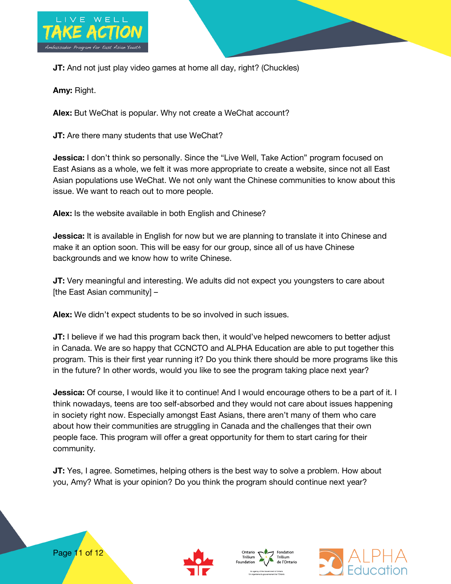

**JT:** And not just play video games at home all day, right? (Chuckles)

**Amy:** Right.

**Alex:** But WeChat is popular. Why not create a WeChat account?

**JT:** Are there many students that use WeChat?

**Jessica:** I don't think so personally. Since the "Live Well, Take Action" program focused on East Asians as a whole, we felt it was more appropriate to create a website, since not all East Asian populations use WeChat. We not only want the Chinese communities to know about this issue. We want to reach out to more people.

**Alex:** Is the website available in both English and Chinese?

**Jessica:** It is available in English for now but we are planning to translate it into Chinese and make it an option soon. This will be easy for our group, since all of us have Chinese backgrounds and we know how to write Chinese.

**JT:** Very meaningful and interesting. We adults did not expect you youngsters to care about [the East Asian community] –

**Alex:** We didn't expect students to be so involved in such issues.

**JT:** I believe if we had this program back then, it would've helped newcomers to better adjust in Canada. We are so happy that CCNCTO and ALPHA Education are able to put together this program. This is their first year running it? Do you think there should be more programs like this in the future? In other words, would you like to see the program taking place next year?

**Jessica:** Of course, I would like it to continue! And I would encourage others to be a part of it. I think nowadays, teens are too self-absorbed and they would not care about issues happening in society right now. Especially amongst East Asians, there aren't many of them who care about how their communities are struggling in Canada and the challenges that their own people face. This program will offer a great opportunity for them to start caring for their community.

**JT:** Yes, I agree. Sometimes, helping others is the best way to solve a problem. How about you, Amy? What is your opinion? Do you think the program should continue next year?